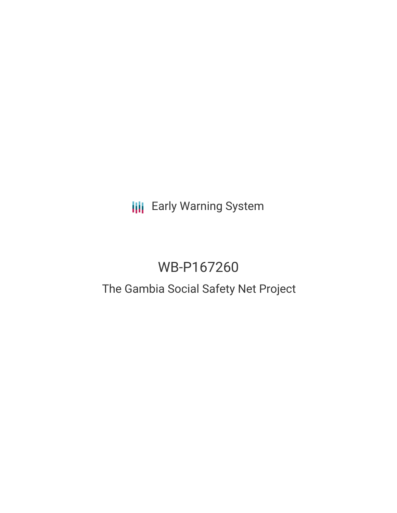# **III** Early Warning System

# WB-P167260

# The Gambia Social Safety Net Project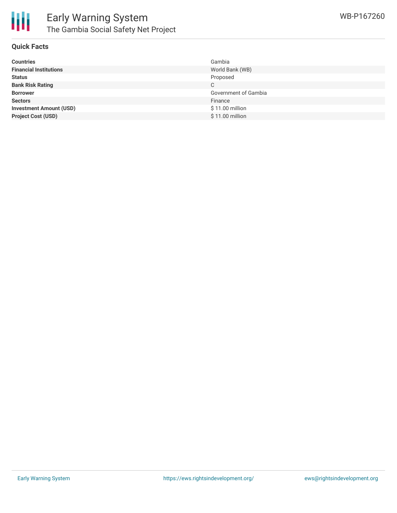

#### **Quick Facts**

| <b>Countries</b>               | Gambia               |
|--------------------------------|----------------------|
| <b>Financial Institutions</b>  | World Bank (WB)      |
| <b>Status</b>                  | Proposed             |
| <b>Bank Risk Rating</b>        | C                    |
| <b>Borrower</b>                | Government of Gambia |
| <b>Sectors</b>                 | Finance              |
| <b>Investment Amount (USD)</b> | \$11.00 million      |
| <b>Project Cost (USD)</b>      | \$11.00 million      |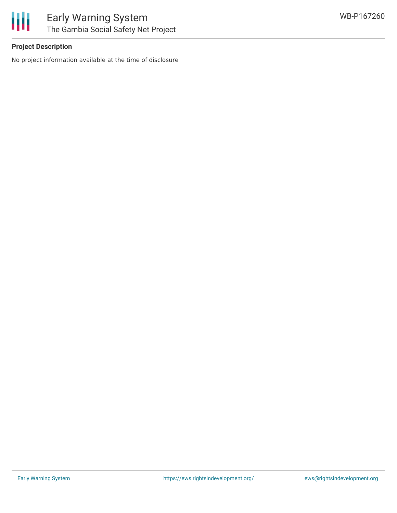

### **Project Description**

No project information available at the time of disclosure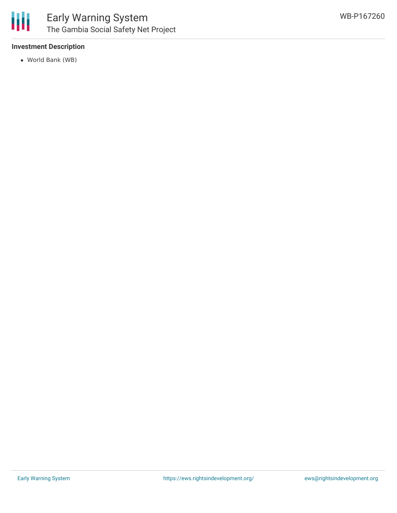

### **Investment Description**

World Bank (WB)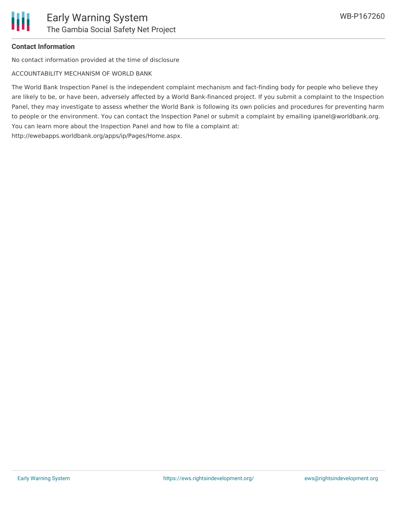

## **Contact Information**

No contact information provided at the time of disclosure

ACCOUNTABILITY MECHANISM OF WORLD BANK

The World Bank Inspection Panel is the independent complaint mechanism and fact-finding body for people who believe they are likely to be, or have been, adversely affected by a World Bank-financed project. If you submit a complaint to the Inspection Panel, they may investigate to assess whether the World Bank is following its own policies and procedures for preventing harm to people or the environment. You can contact the Inspection Panel or submit a complaint by emailing ipanel@worldbank.org. You can learn more about the Inspection Panel and how to file a complaint at: http://ewebapps.worldbank.org/apps/ip/Pages/Home.aspx.